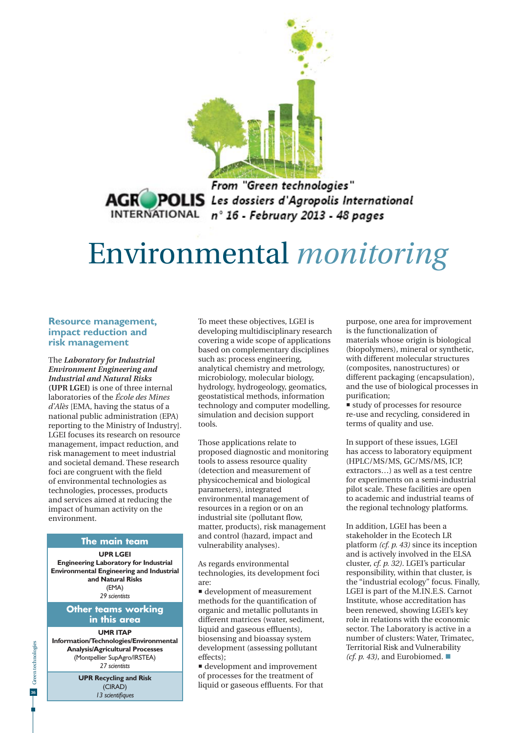

From "Green technologies" **AGR POLIS** Les dossiers d'Agropolis International<br>INTERNATIONAL n° 16 - February 2013 - 48 pages

# Environmental *monitoring*

## **Resource management, impact reduction and risk management**

The *Laboratory for Industrial Environment Engineering and Industrial and Natural Risks* **(UPR LGEI)** is one of three internal laboratories of the *École des Mines d'Alès* [EMA, having the status of a national public administration (EPA) reporting to the Ministry of Industry]. LGEI focuses its research on resource management, impact reduction, and risk management to meet industrial and societal demand. These research foci are congruent with the field of environmental technologies as technologies, processes, products and services aimed at reducing the impact of human activity on the environment.

### **The main team**

**UPR LGEI** 

**Engineering Laboratory for Industrial Environmental Engineering and Industrial and Natural Risks** (EMA) *29 scientists*

## **Other teams working in this area**

#### **UMR ITAP**

**Information/Technologies/Environmental Analysis/Agricultural Processes** (Montpellier SupAgro/IRSTEA) *27 scientists*

> **UPR Recycling and Risk**  (CIRAD) 13 scientifiques

To meet these objectives, LGEI is developing multidisciplinary research covering a wide scope of applications based on complementary disciplines such as: process engineering, analytical chemistry and metrology, microbiology, molecular biology, hydrology, hydrogeology, geomatics, geostatistical methods, information technology and computer modelling, simulation and decision support tools.

Those applications relate to proposed diagnostic and monitoring tools to assess resource quality (detection and measurement of physicochemical and biological parameters), integrated environmental management of resources in a region or on an industrial site (pollutant flow, matter, products), risk management and control (hazard, impact and vulnerability analyses).

As regards environmental technologies, its development foci are:

 development of measurement methods for the quantification of organic and metallic pollutants in different matrices (water, sediment, liquid and gaseous effluents), biosensing and bioassay system development (assessing pollutant effects);

 development and improvement of processes for the treatment of liquid or gaseous effluents. For that purpose, one area for improvement is the functionalization of materials whose origin is biological (biopolymers), mineral or synthetic, with different molecular structures (composites, nanostructures) or different packaging (encapsulation), and the use of biological processes in purification;

 study of processes for resource re-use and recycling, considered in terms of quality and use.

In support of these issues, LGEI has access to laboratory equipment (HPLC/MS/MS, GC/MS/MS, ICP, extractors…) as well as a test centre for experiments on a semi-industrial pilot scale. These facilities are open to academic and industrial teams of the regional technology platforms.

In addition, LGEI has been a stakeholder in the Ecotech LR platform *(cf. p. 43)* since its inception and is actively involved in the ELSA cluster, *cf. p. 32)*. LGEI's particular responsibility, within that cluster, is the "industrial ecology" focus. Finally, LGEI is part of the M.IN.E.S. Carnot Institute, whose accreditation has been renewed, showing LGEI's key role in relations with the economic sector. The Laboratory is active in a number of clusters: Water, Trimatec, Territorial Risk and Vulnerability *(cf. p. 43)*, and Eurobiomed.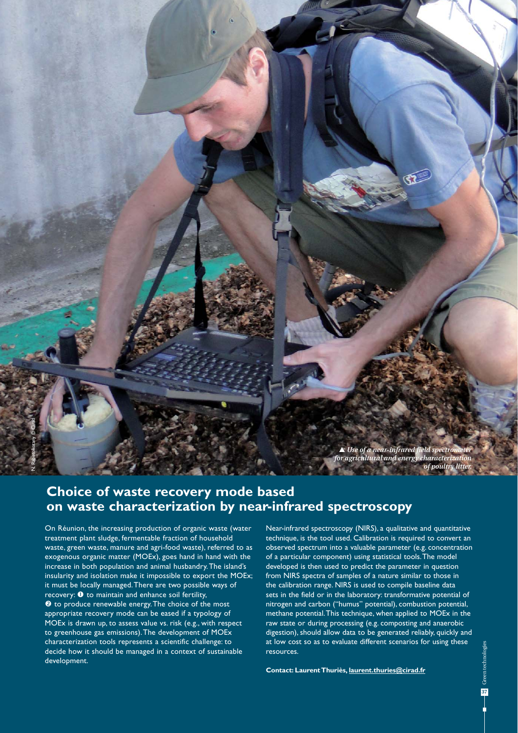

# **Choice of waste recovery mode based on waste characterization by near-infrared spectroscopy**

On Réunion, the increasing production of organic waste (water treatment plant sludge, fermentable fraction of household waste, green waste, manure and agri-food waste), referred to as exogenous organic matter (MOEx), goes hand in hand with the increase in both population and animal husbandry. The island's insularity and isolation make it impossible to export the MOEx; it must be locally managed. There are two possible ways of  $recovers$ :  $\bullet$  to maintain and enhance soil fertility, <sup>2</sup> to produce renewable energy. The choice of the most appropriate recovery mode can be eased if a typology of MOEx is drawn up, to assess value vs. risk (e.g., with respect to greenhouse gas emissions). The development of MOEx characterization tools represents a scientific challenge: to decide how it should be managed in a context of sustainable development.

Near-infrared spectroscopy (NIRS), a qualitative and quantitative technique, is the tool used. Calibration is required to convert an observed spectrum into a valuable parameter (e.g. concentration of a particular component) using statistical tools. The model developed is then used to predict the parameter in question from NIRS spectra of samples of a nature similar to those in the calibration range. NIRS is used to compile baseline data sets in the field or in the laboratory: transformative potential of nitrogen and carbon ("humus" potential), combustion potential, methane potential. This technique, when applied to MOEx in the raw state or during processing (e.g. composting and anaerobic digestion), should allow data to be generated reliably, quickly and at low cost so as to evaluate different scenarios for using these resources.

**Contact: Laurent Thuriès, laurent.thuries@cirad.fr**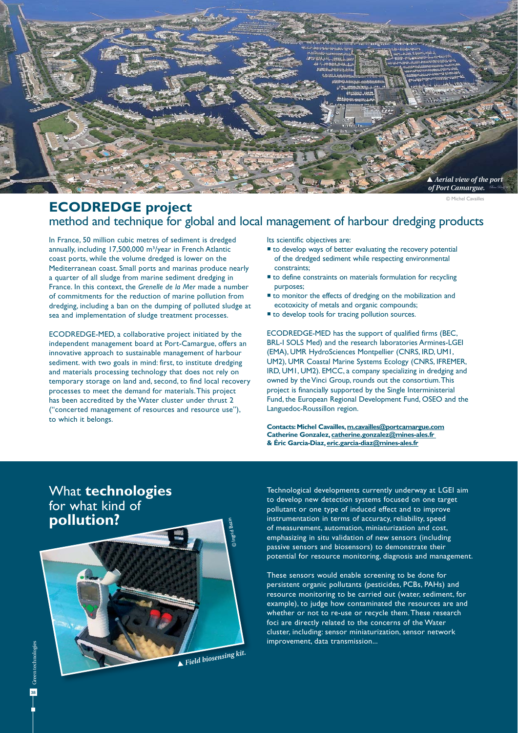

© Michel Cavailles

# **ECODREDGE project** method and technique for global and local management of harbour dredging products

In France, 50 million cubic metres of sediment is dredged annually, including 17,500,000 m<sup>3</sup>/year in French Atlantic coast ports, while the volume dredged is lower on the Mediterranean coast. Small ports and marinas produce nearly a quarter of all sludge from marine sediment dredging in France. In this context, the *Grenelle de la Mer* made a number of commitments for the reduction of marine pollution from dredging, including a ban on the dumping of polluted sludge at sea and implementation of sludge treatment processes.

ECODREDGE-MED, a collaborative project initiated by the independent management board at Port-Camargue, offers an innovative approach to sustainable management of harbour sediment. with two goals in mind: first, to institute dredging and materials processing technology that does not rely on temporary storage on land and, second, to find local recovery processes to meet the demand for materials. This project has been accredited by the Water cluster under thrust 2 ("concerted management of resources and resource use"), to which it belongs.

Its scientific objectives are:

- $\blacksquare$  to develop ways of better evaluating the recovery potential of the dredged sediment while respecting environmental constraints;
- to define constraints on materials formulation for recycling purposes;
- to monitor the effects of dredging on the mobilization and ecotoxicity of metals and organic compounds;
- $\blacksquare$  to develop tools for tracing pollution sources.

ECODREDGE-MED has the support of qualified firms (BEC, BRL-I SOLS Med) and the research laboratories Armines-LGEI (EMA), UMR HydroSciences Montpellier (CNRS, IRD, UM1, UM2), UMR Coastal Marine Systems Ecology (CNRS, IFREMER, IRD, UM1, UM2). EMCC, a company specializing in dredging and owned by the Vinci Group, rounds out the consortium. This project is financially supported by the Single Interministerial Fund, the European Regional Development Fund, OSEO and the Languedoc-Roussillon region.

**Contacts: Michel Cavailles, m.cavailles@portcamargue.com Catherine Gonzalez, catherine.gonzalez@mines-ales.fr & Éric Garcia-Diaz, eric.garcia-diaz@mines-ales.fr**

# What **technologies** for what kind of **pollution?**

 *Field biosensing kit.* 

© Ingrid Bazin

Technological developments currently underway at LGEI aim to develop new detection systems focused on one target pollutant or one type of induced effect and to improve instrumentation in terms of accuracy, reliability, speed of measurement, automation, miniaturization and cost, emphasizing in situ validation of new sensors (including passive sensors and biosensors) to demonstrate their potential for resource monitoring, diagnosis and management.

These sensors would enable screening to be done for persistent organic pollutants (pesticides, PCBs, PAHs) and resource monitoring to be carried out (water, sediment, for example), to judge how contaminated the resources are and whether or not to re-use or recycle them. These research foci are directly related to the concerns of the Water cluster, including: sensor miniaturization, sensor network improvement, data transmission...